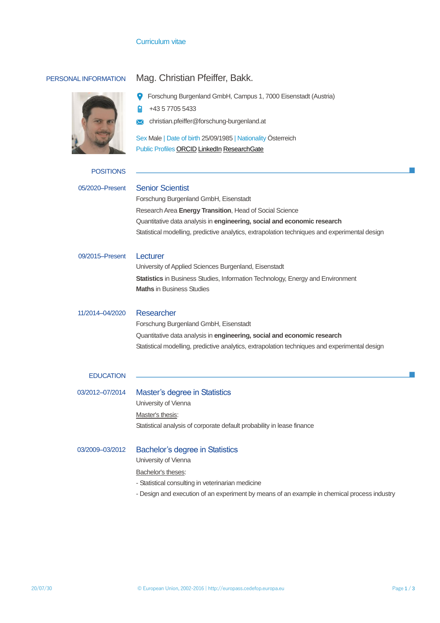# Curriculum vitae



# PERSONAL INFORMATION Mag. Christian Pfeiffer, Bakk.

| <b>P</b> Forschung Burgenland GmbH, Campus 1, 7000 Eisenstadt (Austria) |
|-------------------------------------------------------------------------|
|-------------------------------------------------------------------------|

+43 5 7705 5433 自

**X** christian.pfeiffer@forschung-burgenland.at

Sex Male | Date of birth 25/09/1985 | Nationality Österreich Public Profiles [ORCID](https://orcid.org/0000-0002-1227-8443) [LinkedIn](http://www.linkedin.com/in/christian-pfeiffer) [ResearchGate](https://www.researchgate.net/profile/Christian_Pfeiffer10)

| <b>POSITIONS</b> |  |  |  |
|------------------|--|--|--|
|                  |  |  |  |

| 05/2020-Present  | <b>Senior Scientist</b><br>Forschung Burgenland GmbH, Eisenstadt                              |  |  |  |  |
|------------------|-----------------------------------------------------------------------------------------------|--|--|--|--|
|                  | Research Area Energy Transition, Head of Social Science                                       |  |  |  |  |
|                  | Quantitative data analysis in engineering, social and economic research                       |  |  |  |  |
|                  | Statistical modelling, predictive analytics, extrapolation techniques and experimental design |  |  |  |  |
| 09/2015-Present  | Lecturer                                                                                      |  |  |  |  |
|                  | University of Applied Sciences Burgenland, Eisenstadt                                         |  |  |  |  |
|                  | <b>Statistics</b> in Business Studies, Information Technology, Energy and Environment         |  |  |  |  |
|                  | <b>Maths in Business Studies</b>                                                              |  |  |  |  |
|                  |                                                                                               |  |  |  |  |
| 11/2014-04/2020  | Researcher                                                                                    |  |  |  |  |
|                  | Forschung Burgenland GmbH, Eisenstadt                                                         |  |  |  |  |
|                  | Quantitative data analysis in engineering, social and economic research                       |  |  |  |  |
|                  | Statistical modelling, predictive analytics, extrapolation techniques and experimental design |  |  |  |  |
|                  |                                                                                               |  |  |  |  |
| <b>EDUCATION</b> |                                                                                               |  |  |  |  |
|                  |                                                                                               |  |  |  |  |
| 03/2012-07/2014  | Master's degree in Statistics                                                                 |  |  |  |  |
|                  | University of Vienna                                                                          |  |  |  |  |
|                  | Master's thesis:                                                                              |  |  |  |  |
|                  | Statistical analysis of corporate default probability in lease finance                        |  |  |  |  |
|                  |                                                                                               |  |  |  |  |
| 03/2009-03/2012  | <b>Bachelor's degree in Statistics</b>                                                        |  |  |  |  |
|                  | University of Vienna                                                                          |  |  |  |  |
|                  | Bachelor's theses:                                                                            |  |  |  |  |
|                  | - Statistical consulting in veterinarian medicine                                             |  |  |  |  |

- Design and execution of an experiment by means of an example in chemical process industry

 $\sim$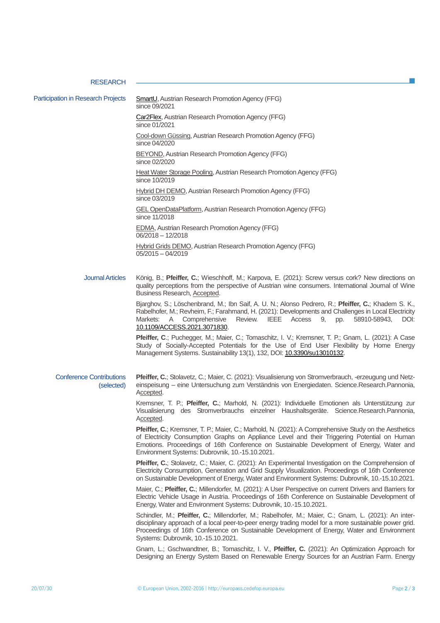## **RESEARCH**

Participation in Research Projects [SmartU,](https://projekte.ffg.at/projekt/3851873) Austrian Research Promotion Agency (FFG)

since 09/2021 [Car2Flex,](https://projekte.ffg.at/projekt/3851873) Austrian Research Promotion Agency (FFG) since 01/2021 [Cool-down Güssing,](https://projekte.ffg.at/projekt/3705995) Austrian Research Promotion Agency (FFG) since 04/2020 [BEYOND,](https://projekte.ffg.at/projekt/3234886) Austrian Research Promotion Agency (FFG) since 02/2020 [Heat Water Storage Pooling,](https://projekte.ffg.at/projekt/3205636) Austrian Research Promotion Agency (FFG) since 10/2019 [Hybrid DH DEMO,](https://projekte.ffg.at/projekt/3226092) Austrian Research Promotion Agency (FFG) since 03/2019 [GEL OpenDataPlatform,](https://projekte.ffg.at/projekt/3089761)Austrian Research Promotion Agency (FFG) since 11/2018 [EDMA,](https://projekte.ffg.at/projekt/1737934) Austrian Research Promotion Agency (FFG) 06/2018 – 12/2018 Hybrid Grids DEMO, Austrian Research Promotion Agency (FFG) 05/2015 – 04/2019

Journal Articles König, B.; **Pfeiffer, C.**; Wieschhoff, M.; Karpova, E. (2021): Screw versus cork? New directions on quality perceptions from the perspective of Austrian wine consumers. International Journal of Wine Business Research, Accepted.

> Bjarghov, S.; Löschenbrand, M.; Ibn Saif, A. U. N.; Alonso Pedrero, R.; **Pfeiffer, C.**; Khadem S. K., Rabelhofer, M.; Revheim, F.; Farahmand, H. (2021): Developments and Challenges in Local Electricity Markets: A Comprehensive Review. IEEE Access 9, pp. 58910-58943, DOI: [10.1109/ACCESS.2021.3071830.](https://www.doi.org/10.1109/ACCESS.2021.3071830)

> **Pfeiffer, C**.; Puchegger, M.; Maier, C.; Tomaschitz, I. V.; Kremsner, T. P.; Gnam, L. (2021): A Case Study of Socially-Accepted Potentials for the Use of End User Flexibility by Home Energy Management Systems. Sustainability 13(1), 132, DOI: [10.3390/su13010132.](https://doi.org/10.3390/su13010132)

### Conference Contributions (selected) **Pfeiffer, C.**; Stolavetz, C.; Maier, C. (2021): Visualisierung von Stromverbrauch, -erzeugung und Netzeinspeisung – eine Untersuchung zum Verständnis von Energiedaten. Science.Research.Pannonia, Accepted.

Kremsner, T. P.; **Pfeiffer, C.**; Marhold, N. (2021): Individuelle Emotionen als Unterstützung zur Visualisierung des Stromverbrauchs einzelner Haushaltsgeräte. Science.Research.Pannonia, Accepted.

Pfeiffer, C.; Kremsner, T. P.; Maier, C.; Marhold, N. (2021): A Comprehensive Study on the Aesthetics of Electricity Consumption Graphs on Appliance Level and their Triggering Potential on Human Emotions. Proceedings of 16th Conference on Sustainable Development of Energy, Water and Environment Systems: Dubrovnik, 10.-15.10.2021.

**Pfeiffer, C.**; Stolavetz, C.; Maier, C. (2021): An Experimental Investigation on the Comprehension of Electricity Consumption, Generation and Grid Supply Visualization. Proceedings of 16th Conference on Sustainable Development of Energy, Water and Environment Systems: Dubrovnik, 10.-15.10.2021.

Maier, C.; **Pfeiffer, C.**; Millendorfer, M. (2021): A User Perspective on current Drivers and Barriers for Electric Vehicle Usage in Austria. Proceedings of 16th Conference on Sustainable Development of Energy, Water and Environment Systems: Dubrovnik, 10.-15.10.2021.

Schindler, M.; **Pfeiffer, C.**; Millendorfer, M.; Rabelhofer, M.; Maier, C.; Gnam, L. (2021): An interdisciplinary approach of a local peer-to-peer energy trading model for a more sustainable power grid. Proceedings of 16th Conference on Sustainable Development of Energy, Water and Environment Systems: Dubrovnik, 10.-15.10.2021.

Gnam, L.; Gschwandtner, B.; Tomaschitz, I. V., **Pfeiffer, C.** (2021): An Optimization Approach for Designing an Energy System Based on Renewable Energy Sources for an Austrian Farm. Energy